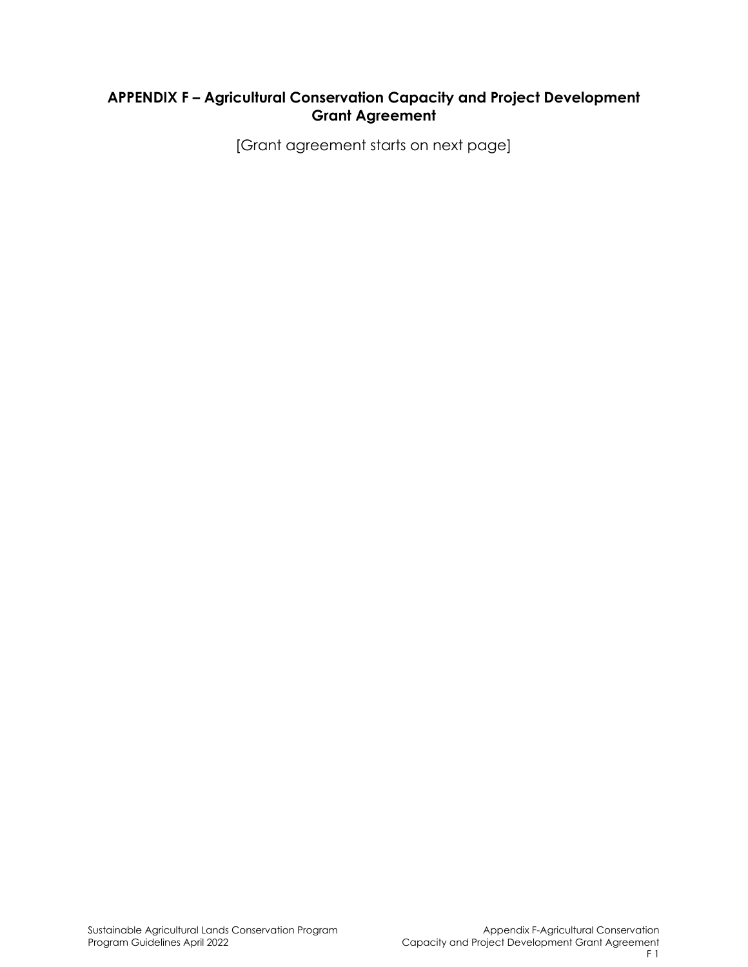# **APPENDIX F – Agricultural Conservation Capacity and Project Development Grant Agreement**

[Grant agreement starts on next page]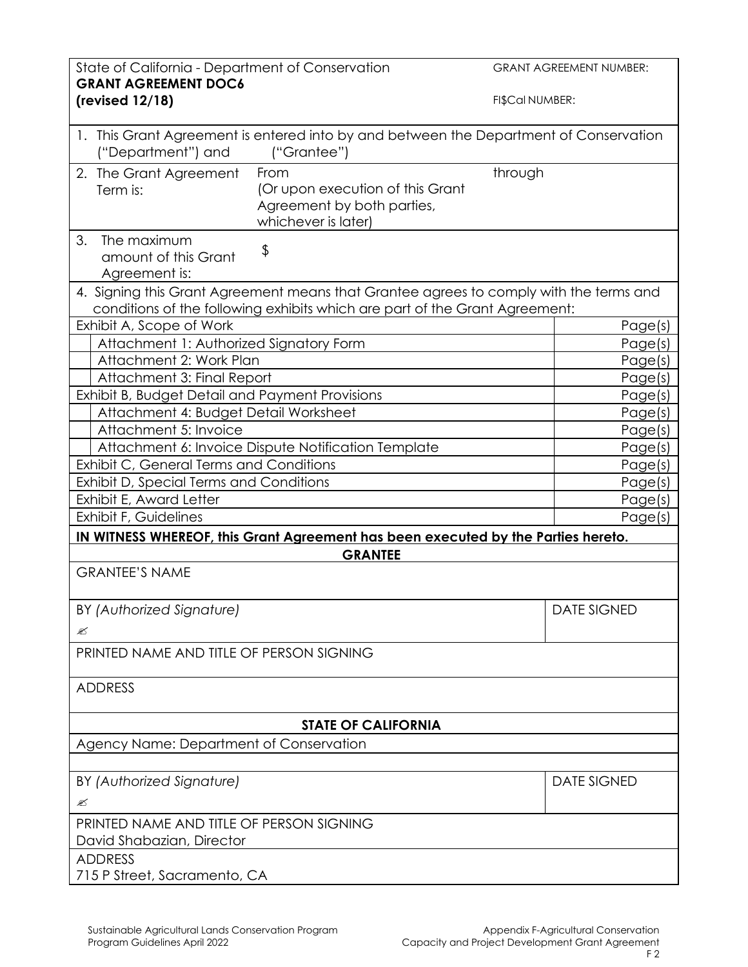| State of California - Department of Conservation<br><b>GRANT AGREEMENT DOC6</b>                                                                                       | <b>GRANT AGREEMENT NUMBER:</b> |
|-----------------------------------------------------------------------------------------------------------------------------------------------------------------------|--------------------------------|
| (revised $12/18$ )                                                                                                                                                    | FI\$Cal NUMBER:                |
| 1. This Grant Agreement is entered into by and between the Department of Conservation<br>("Department") and<br>("Grantee")                                            |                                |
| From<br>2. The Grant Agreement<br>(Or upon execution of this Grant<br>Term is:<br>Agreement by both parties,<br>whichever is later)                                   | through                        |
| 3.<br>The maximum<br>\$<br>amount of this Grant<br>Agreement is:                                                                                                      |                                |
| 4. Signing this Grant Agreement means that Grantee agrees to comply with the terms and<br>conditions of the following exhibits which are part of the Grant Agreement: |                                |
| Exhibit A, Scope of Work                                                                                                                                              | Page(s)                        |
| Attachment 1: Authorized Signatory Form                                                                                                                               | Page(s)                        |
| Attachment 2: Work Plan                                                                                                                                               | Page(s)                        |
| Attachment 3: Final Report                                                                                                                                            | Page(s)                        |
| Exhibit B, Budget Detail and Payment Provisions                                                                                                                       | Page(s)                        |
| Attachment 4: Budget Detail Worksheet                                                                                                                                 | Page(s)                        |
| Attachment 5: Invoice                                                                                                                                                 | Page(s)                        |
| Attachment 6: Invoice Dispute Notification Template                                                                                                                   | Page(s)                        |
| Exhibit C, General Terms and Conditions                                                                                                                               | Page(s)                        |
| Exhibit D, Special Terms and Conditions                                                                                                                               | Page(s)                        |
| Exhibit E, Award Letter                                                                                                                                               | Page(s)                        |
| Exhibit F, Guidelines                                                                                                                                                 | Page(s)                        |
| IN WITNESS WHEREOF, this Grant Agreement has been executed by the Parties hereto.                                                                                     |                                |
| <b>GRANTEE</b>                                                                                                                                                        |                                |
| <b>GRANTEE'S NAME</b>                                                                                                                                                 |                                |
| BY (Authorized Signature)                                                                                                                                             | <b>DATE SIGNED</b>             |
| ≤                                                                                                                                                                     |                                |
| PRINTED NAME AND TITLE OF PERSON SIGNING                                                                                                                              |                                |
| <b>ADDRESS</b>                                                                                                                                                        |                                |
| <b>STATE OF CALIFORNIA</b>                                                                                                                                            |                                |
| Agency Name: Department of Conservation                                                                                                                               |                                |
|                                                                                                                                                                       |                                |
| BY (Authorized Signature)                                                                                                                                             | <b>DATE SIGNED</b>             |
| ≤                                                                                                                                                                     |                                |
| PRINTED NAME AND TITLE OF PERSON SIGNING                                                                                                                              |                                |
| David Shabazian, Director                                                                                                                                             |                                |
| <b>ADDRESS</b>                                                                                                                                                        |                                |
| 715 P Street, Sacramento, CA                                                                                                                                          |                                |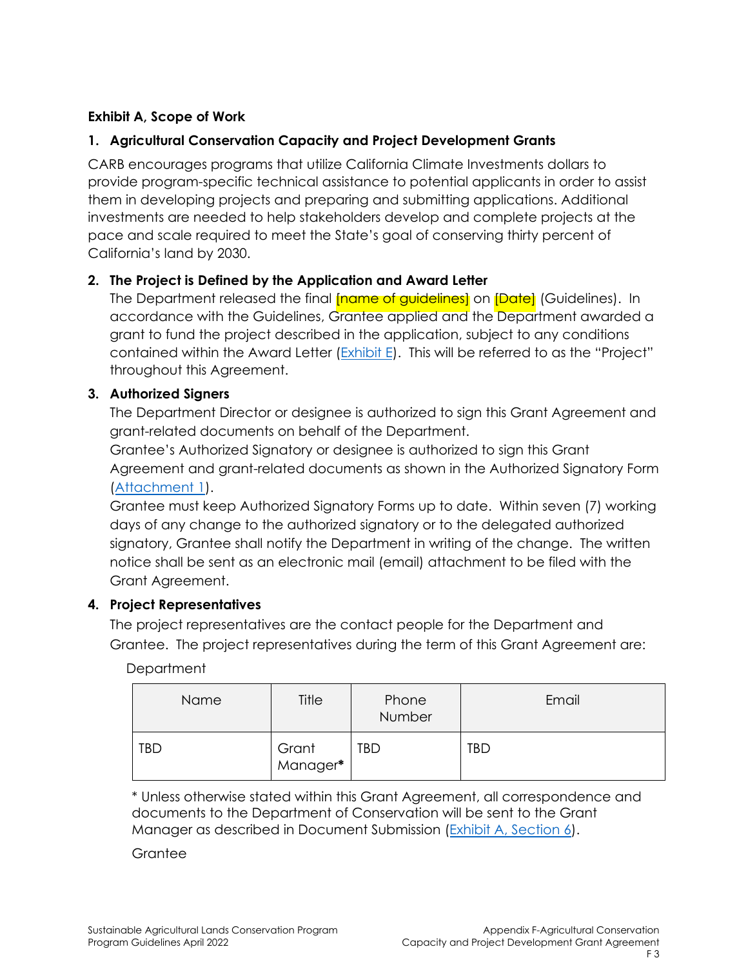## **Exhibit A, Scope of Work**

## **1. Agricultural Conservation Capacity and Project Development Grants**

CARB encourages programs that utilize California Climate Investments dollars to provide program-specific technical assistance to potential applicants in order to assist them in developing projects and preparing and submitting applications. Additional investments are needed to help stakeholders develop and complete projects at the pace and scale required to meet the State's goal of conserving thirty percent of California's land by 2030.

## **2. The Project is Defined by the Application and Award Letter**

The Department released the final **[name of quidelines]** on *[Date] (Guidelines). In* accordance with the Guidelines, Grantee applied and the Department awarded a grant to fund the project described in the application, subject to any conditions contained within the Award Letter (Exhibit E). This will be referred to as the "Project" throughout this Agreement.

#### **3. Authorized Signers**

The Department Director or designee is authorized to sign this Grant Agreement and grant-related documents on behalf of the Department.

Grantee's Authorized Signatory or designee is authorized to sign this Grant Agreement and grant-related documents as shown in the Authorized Signatory Form (Attachment 1).

Grantee must keep Authorized Signatory Forms up to date. Within seven (7) working days of any change to the authorized signatory or to the delegated authorized signatory, Grantee shall notify the Department in writing of the change. The written notice shall be sent as an electronic mail (email) attachment to be filed with the Grant Agreement.

#### **4. Project Representatives**

 Grantee. The project representatives during the term of this Grant Agreement are: The project representatives are the contact people for the Department and

| Department |
|------------|
|------------|

| Name       | Title             | Phone<br>Number | Email |
|------------|-------------------|-----------------|-------|
| <b>TBD</b> | Grant<br>Manager* | TBD             | TBD   |

\* Unless otherwise stated within this Grant Agreement, all correspondence and documents to the Department of Conservation will be sent to the Grant Manager as described in Document Submission (Exhibit A, Section 6).

**Grantee**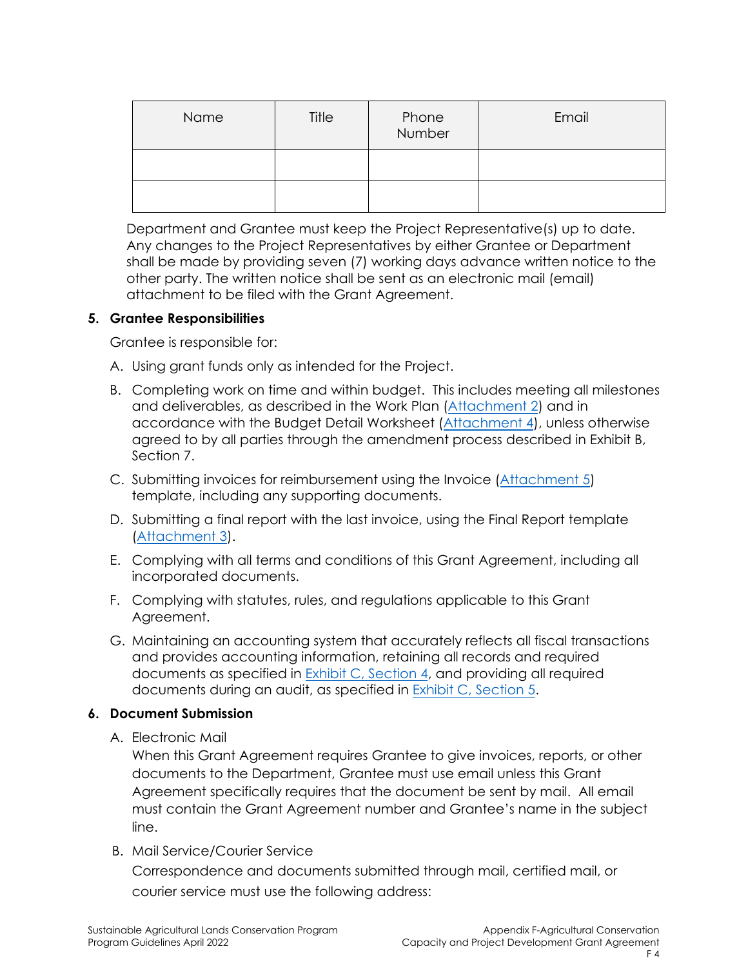| Name | Title | Phone<br>Number | Email |
|------|-------|-----------------|-------|
|      |       |                 |       |
|      |       |                 |       |

Department and Grantee must keep the Project Representative(s) up to date. Any changes to the Project Representatives by either Grantee or Department shall be made by providing seven (7) working days advance written notice to the other party. The written notice shall be sent as an electronic mail (email) attachment to be filed with the Grant Agreement.

#### **5. Grantee Responsibilities**

Grantee is responsible for:

- A. Using grant funds only as intended for the Project.
- B. Completing work on time and within budget. This includes meeting all milestones and deliverables, as described in the Work Plan (Attachment 2) and in accordance with the Budget Detail Worksheet (Attachment 4), unless otherwise agreed to by all parties through the amendment process described in Exhibit B, Section 7.
- C. Submitting invoices for reimbursement using the Invoice (Attachment 5) template, including any supporting documents.
- D. Submitting a final report with the last invoice, using the Final Report template (Attachment 3).
- E. Complying with all terms and conditions of this Grant Agreement, including all incorporated documents.
- F. Complying with statutes, rules, and regulations applicable to this Grant Agreement.
- G. Maintaining an accounting system that accurately reflects all fiscal transactions and provides accounting information, retaining all records and required documents as specified in Exhibit C, Section 4, and providing all required documents during an audit, as specified in Exhibit C, Section 5.

#### **6. Document Submission**

A. Electronic Mail

When this Grant Agreement requires Grantee to give invoices, reports, or other documents to the Department, Grantee must use email unless this Grant Agreement specifically requires that the document be sent by mail. All email must contain the Grant Agreement number and Grantee's name in the subject line.

B. Mail Service/Courier Service

Correspondence and documents submitted through mail, certified mail, or courier service must use the following address: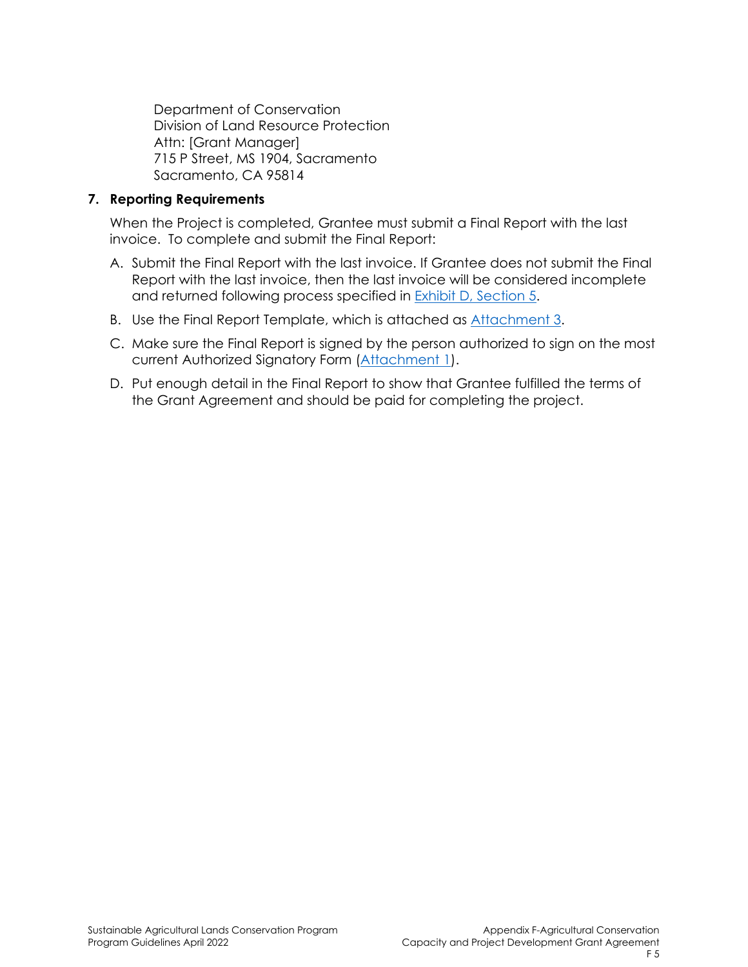Department of Conservation Division of Land Resource Protection Attn: [Grant Manager] 715 P Street, MS 1904, Sacramento Sacramento, CA 95814

#### **7. Reporting Requirements**

When the Project is completed, Grantee must submit a Final Report with the last invoice. To complete and submit the Final Report:

- A. Submit the Final Report with the last invoice. If Grantee does not submit the Final Report with the last invoice, then the last invoice will be considered incomplete and returned following process specified in Exhibit D, Section 5.
- B. Use the Final Report Template, which is attached as Attachment 3.
- C. Make sure the Final Report is signed by the person authorized to sign on the most current Authorized Signatory Form (Attachment 1).
- D. Put enough detail in the Final Report to show that Grantee fulfilled the terms of the Grant Agreement and should be paid for completing the project.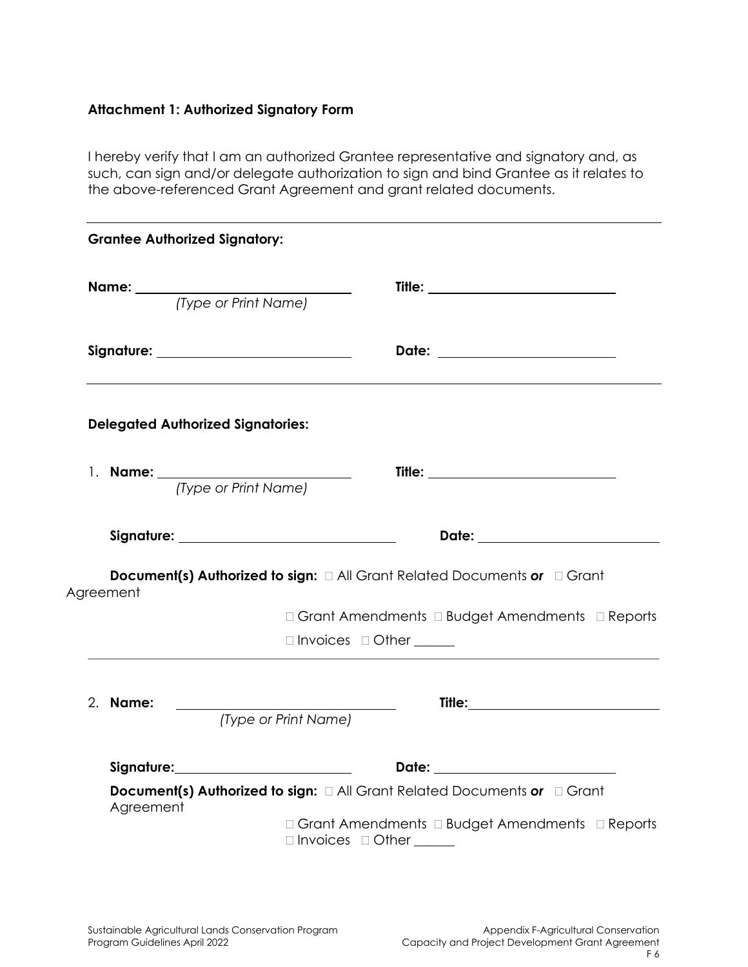# **Attachment 1: Authorized Signatory Form**

I hereby verify that I am an authorized Grantee representative and signatory and, as such, can sign and/or delegate authorization to sign and bind Grantee as it relates to the above-referenced Grant Agreement and grant related documents.

|           | <b>Grantee Authorized Signatory:</b>       |                                                                                    |
|-----------|--------------------------------------------|------------------------------------------------------------------------------------|
|           | <b>Name:</b> <i>(Type or Print Name)</i>   |                                                                                    |
|           | Signature: _______________________________ |                                                                                    |
|           | <b>Delegated Authorized Signatories:</b>   |                                                                                    |
|           |                                            |                                                                                    |
|           | (Type or Print Name)                       |                                                                                    |
|           |                                            |                                                                                    |
| Agreement |                                            | Document(s) Authorized to sign: $\Box$ All Grant Related Documents or $\Box$ Grant |
|           |                                            | □ Grant Amendments □ Budget Amendments □ Reports                                   |
|           |                                            | $\Box$ Invoices $\Box$ Other _______                                               |
|           |                                            |                                                                                    |
| 2. Name:  | (Type or Print Name)                       |                                                                                    |
|           |                                            |                                                                                    |
|           |                                            |                                                                                    |
|           |                                            | Document(s) Authorized to sign: $\Box$ All Grant Related Documents or $\Box$ Grant |
| Agreement |                                            | □ Grant Amendments □ Budget Amendments □ Reports<br>□ Invoices □ Other _____       |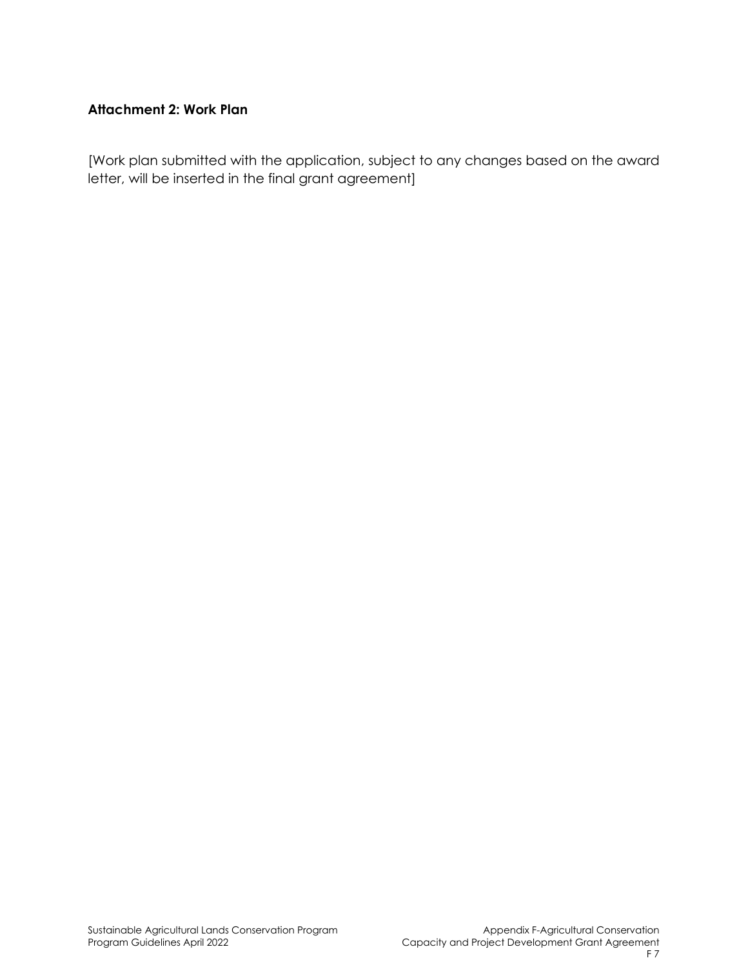## **Attachment 2: Work Plan**

[Work plan submitted with the application, subject to any changes based on the award letter, will be inserted in the final grant agreement]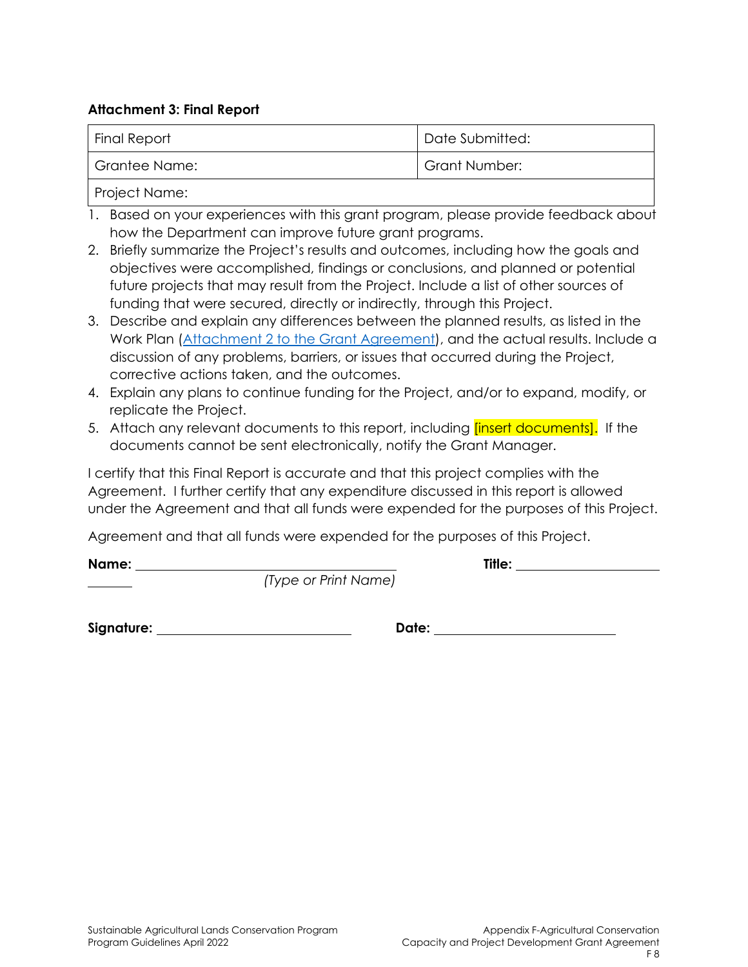#### **Attachment 3: Final Report**

| <b>Final Report</b> | Date Submitted:      |
|---------------------|----------------------|
| Grantee Name:       | <b>Grant Number:</b> |
|                     |                      |

Project Name:

- 1. Based on your experiences with this grant program, please provide feedback about how the Department can improve future grant programs.
- 2. Briefly summarize the Project's results and outcomes, including how the goals and objectives were accomplished, findings or conclusions, and planned or potential future projects that may result from the Project. Include a list of other sources of funding that were secured, directly or indirectly, through this Project.
- 3. Describe and explain any differences between the planned results, as listed in the Work Plan (Attachment 2 to the Grant Agreement), and the actual results. Include a discussion of any problems, barriers, or issues that occurred during the Project, corrective actions taken, and the outcomes.
- 4. Explain any plans to continue funding for the Project, and/or to expand, modify, or replicate the Project.
- 5. Attach any relevant documents to this report, including *[insert documents]*. If the documents cannot be sent electronically, notify the Grant Manager.

I certify that this Final Report is accurate and that this project complies with the Agreement. I further certify that any expenditure discussed in this report is allowed under the Agreement and that all funds were expended for the purposes of this Project.

Agreement and that all funds were expended for the purposes of this Project.

**Name: Title:** 

*(Type or Print Name)*

**Signature: Date:**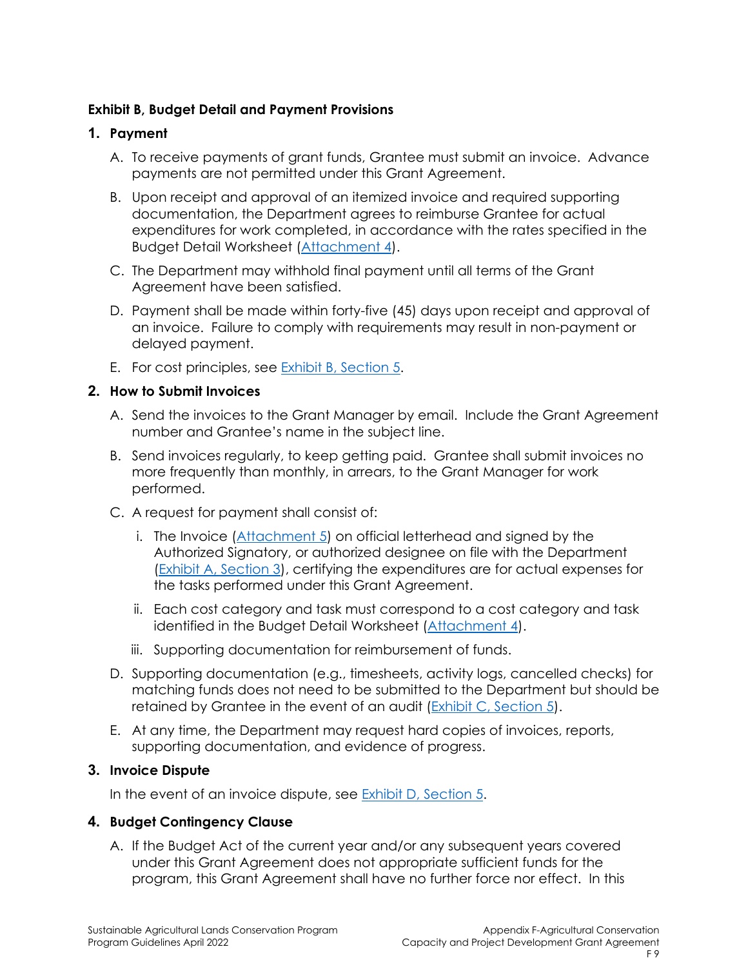### **Exhibit B, Budget Detail and Payment Provisions**

### **1. Payment**

- A. To receive payments of grant funds, Grantee must submit an invoice. Advance payments are not permitted under this Grant Agreement.
- B. Upon receipt and approval of an itemized invoice and required supporting documentation, the Department agrees to reimburse Grantee for actual expenditures for work completed, in accordance with the rates specified in the Budget Detail Worksheet (Attachment 4).
- C. The Department may withhold final payment until all terms of the Grant Agreement have been satisfied.
- D. Payment shall be made within forty-five (45) days upon receipt and approval of an invoice. Failure to comply with requirements may result in non-payment or delayed payment.
- E. For cost principles, see **Exhibit B**, Section 5.

## **2. How to Submit Invoices**

- A. Send the invoices to the Grant Manager by email. Include the Grant Agreement number and Grantee's name in the subject line.
- B. Send invoices regularly, to keep getting paid. Grantee shall submit invoices no more frequently than monthly, in arrears, to the Grant Manager for work performed.
- C. A request for payment shall consist of:
	- i. The Invoice (Attachment 5) on official letterhead and signed by the Authorized Signatory, or authorized designee on file with the Department (Exhibit A, Section 3), certifying the expenditures are for actual expenses for the tasks performed under this Grant Agreement.
	- ii. Each cost category and task must correspond to a cost category and task identified in the Budget Detail Worksheet (Attachment 4).
	- iii. Supporting documentation for reimbursement of funds.
- D. Supporting documentation (e.g., timesheets, activity logs, cancelled checks) for matching funds does not need to be submitted to the Department but should be retained by Grantee in the event of an audit (Exhibit C, Section 5).
- E. At any time, the Department may request hard copies of invoices, reports, supporting documentation, and evidence of progress.

#### **3. Invoice Dispute**

In the event of an invoice dispute, see Exhibit D, Section 5.

## **4. Budget Contingency Clause**

A. If the Budget Act of the current year and/or any subsequent years covered under this Grant Agreement does not appropriate sufficient funds for the program, this Grant Agreement shall have no further force nor effect. In this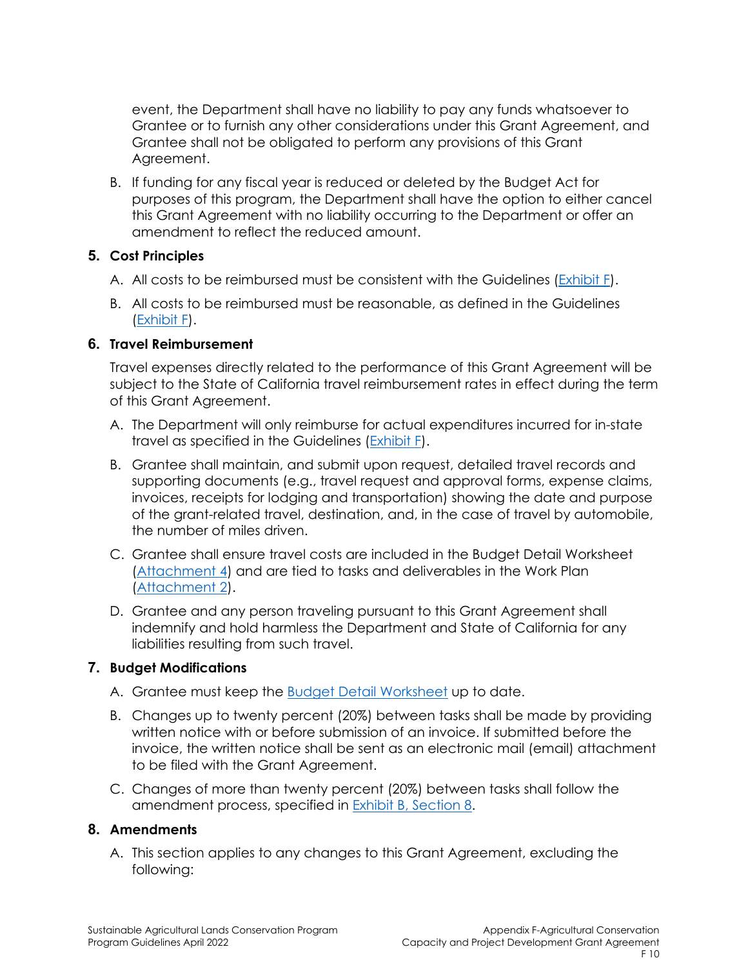event, the Department shall have no liability to pay any funds whatsoever to Grantee or to furnish any other considerations under this Grant Agreement, and Grantee shall not be obligated to perform any provisions of this Grant Agreement.

B. If funding for any fiscal year is reduced or deleted by the Budget Act for purposes of this program, the Department shall have the option to either cancel this Grant Agreement with no liability occurring to the Department or offer an amendment to reflect the reduced amount.

## **5. Cost Principles**

- A. All costs to be reimbursed must be consistent with the Guidelines (Exhibit F).
- B. All costs to be reimbursed must be reasonable, as defined in the Guidelines (Exhibit F).

#### **6. Travel Reimbursement**

Travel expenses directly related to the performance of this Grant Agreement will be subject to the State of California travel reimbursement rates in effect during the term of this Grant Agreement.

- A. The Department will only reimburse for actual expenditures incurred for in-state travel as specified in the Guidelines (Exhibit F).
- B. Grantee shall maintain, and submit upon request, detailed travel records and supporting documents (e.g., travel request and approval forms, expense claims, invoices, receipts for lodging and transportation) showing the date and purpose of the grant-related travel, destination, and, in the case of travel by automobile, the number of miles driven.
- C. Grantee shall ensure travel costs are included in the Budget Detail Worksheet (Attachment 4) and are tied to tasks and deliverables in the Work Plan (Attachment 2).
- D. Grantee and any person traveling pursuant to this Grant Agreement shall indemnify and hold harmless the Department and State of California for any liabilities resulting from such travel.

## **7. Budget Modifications**

- A. Grantee must keep the Budget Detail Worksheet up to date.
- B. Changes up to twenty percent (20%) between tasks shall be made by providing written notice with or before submission of an invoice. If submitted before the invoice, the written notice shall be sent as an electronic mail (email) attachment to be filed with the Grant Agreement.
- C. Changes of more than twenty percent (20%) between tasks shall follow the amendment process, specified in **Exhibit B**, Section 8.

#### **8. Amendments**

A. This section applies to any changes to this Grant Agreement, excluding the following: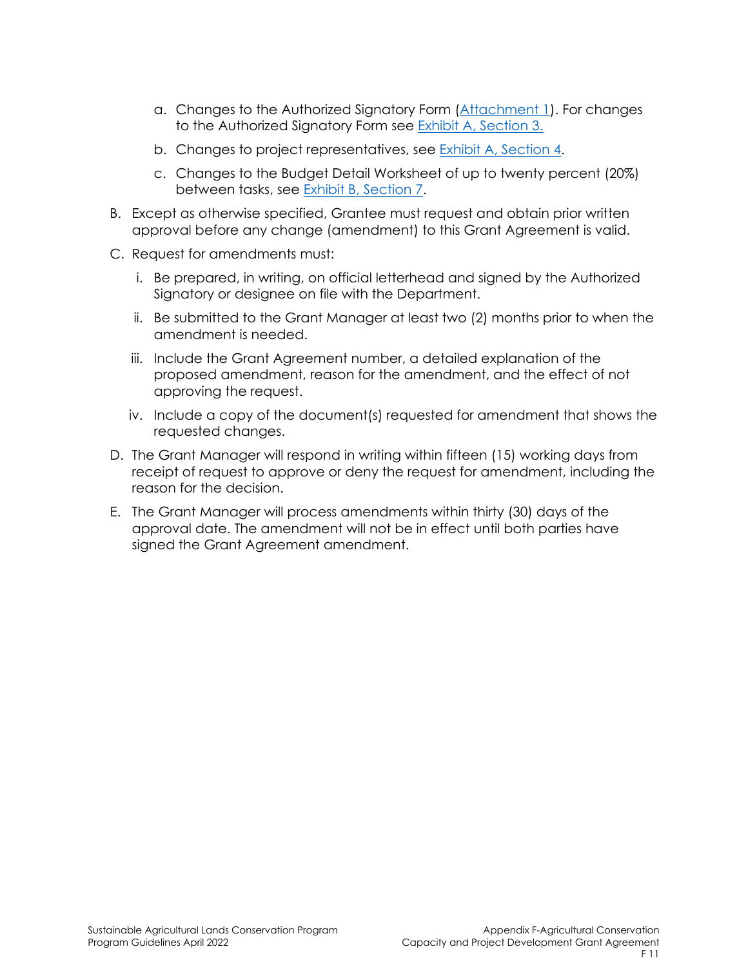- a. Changes to the Authorized Signatory Form (Attachment 1). For changes to the Authorized Signatory Form see Exhibit A, Section 3.
- b. Changes to project representatives, see Exhibit A, Section 4.
- c. Changes to the Budget Detail Worksheet of up to twenty percent (20%) between tasks, see Exhibit B, Section 7.
- B. Except as otherwise specified, Grantee must request and obtain prior written approval before any change (amendment) to this Grant Agreement is valid.
- C. Request for amendments must:
	- i. Be prepared, in writing, on official letterhead and signed by the Authorized Signatory or designee on file with the Department.
	- ii. Be submitted to the Grant Manager at least two (2) months prior to when the amendment is needed.
	- iii. Include the Grant Agreement number, a detailed explanation of the proposed amendment, reason for the amendment, and the effect of not approving the request.
	- iv. Include a copy of the document(s) requested for amendment that shows the requested changes.
- D. The Grant Manager will respond in writing within fifteen (15) working days from receipt of request to approve or deny the request for amendment, including the reason for the decision.
- E. The Grant Manager will process amendments within thirty (30) days of the approval date. The amendment will not be in effect until both parties have signed the Grant Agreement amendment.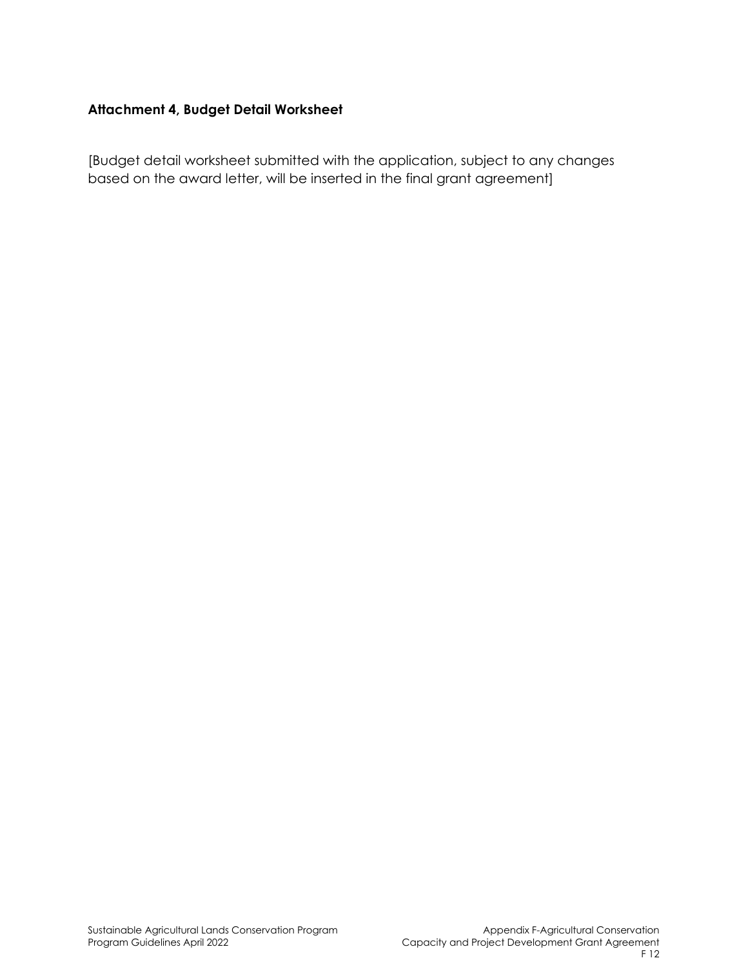## **Attachment 4, Budget Detail Worksheet**

[Budget detail worksheet submitted with the application, subject to any changes based on the award letter, will be inserted in the final grant agreement]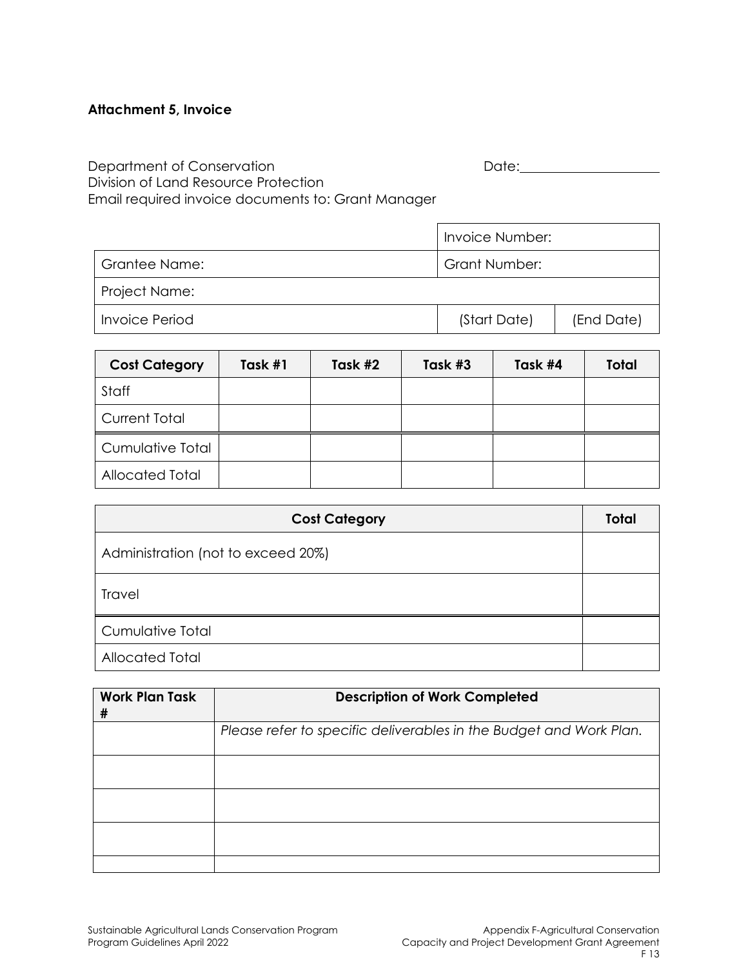## **Attachment 5, Invoice**

Department of Conservation and Date: Date: Date: Division of Land Resource Protection Email required invoice documents to: Grant Manager

|                | Invoice Number:      |            |  |
|----------------|----------------------|------------|--|
| Grantee Name:  | <b>Grant Number:</b> |            |  |
| Project Name:  |                      |            |  |
| Invoice Period | (Start Date)         | (End Date) |  |

| <b>Cost Category</b> | Task #1 | Task #2 | Task #3 | Task #4 | <b>Total</b> |
|----------------------|---------|---------|---------|---------|--------------|
| Staff                |         |         |         |         |              |
| <b>Current Total</b> |         |         |         |         |              |
| Cumulative Total     |         |         |         |         |              |
| Allocated Total      |         |         |         |         |              |

| <b>Cost Category</b>               | <b>Total</b> |
|------------------------------------|--------------|
| Administration (not to exceed 20%) |              |
| Travel                             |              |
| <b>Cumulative Total</b>            |              |
| <b>Allocated Total</b>             |              |

| <b>Work Plan Task</b><br># | <b>Description of Work Completed</b>                               |  |  |
|----------------------------|--------------------------------------------------------------------|--|--|
|                            | Please refer to specific deliverables in the Budget and Work Plan. |  |  |
|                            |                                                                    |  |  |
|                            |                                                                    |  |  |
|                            |                                                                    |  |  |
|                            |                                                                    |  |  |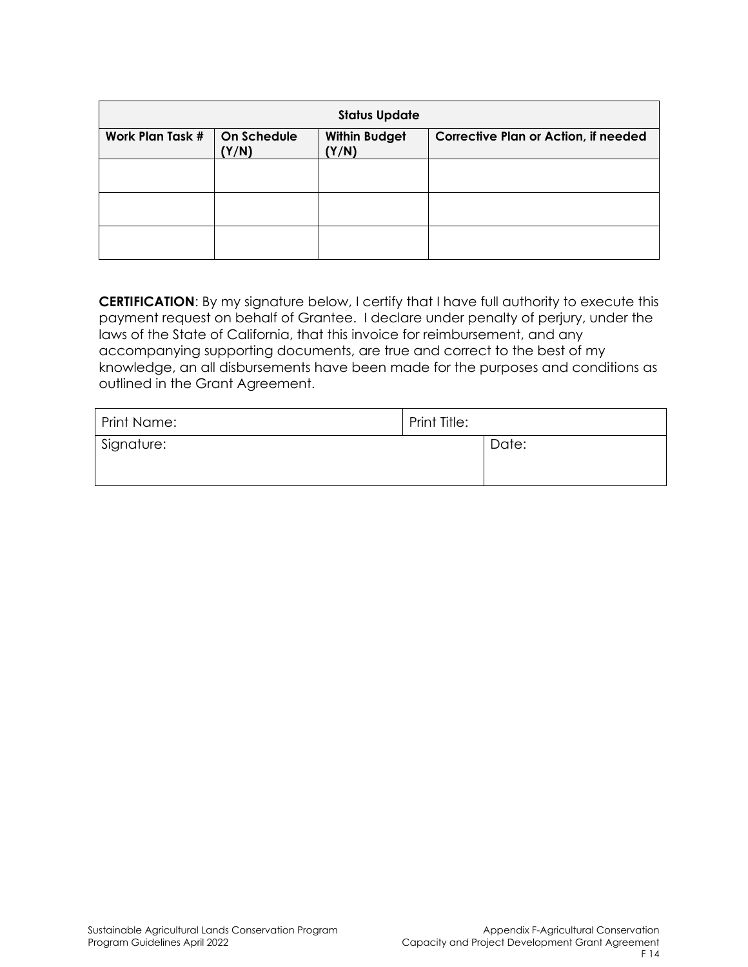| <b>Status Update</b>                                                             |  |                                             |  |
|----------------------------------------------------------------------------------|--|---------------------------------------------|--|
| <b>Work Plan Task #</b><br>On Schedule<br><b>Within Budget</b><br>(Y/N)<br>(Y/N) |  | <b>Corrective Plan or Action, if needed</b> |  |
|                                                                                  |  |                                             |  |
|                                                                                  |  |                                             |  |
|                                                                                  |  |                                             |  |

**CERTIFICATION**: By my signature below, I certify that I have full authority to execute this payment request on behalf of Grantee. I declare under penalty of perjury, under the laws of the State of California, that this invoice for reimbursement, and any accompanying supporting documents, are true and correct to the best of my knowledge, an all disbursements have been made for the purposes and conditions as outlined in the Grant Agreement.

| Print Name: | Print Title: |       |
|-------------|--------------|-------|
| Signature:  |              | Date: |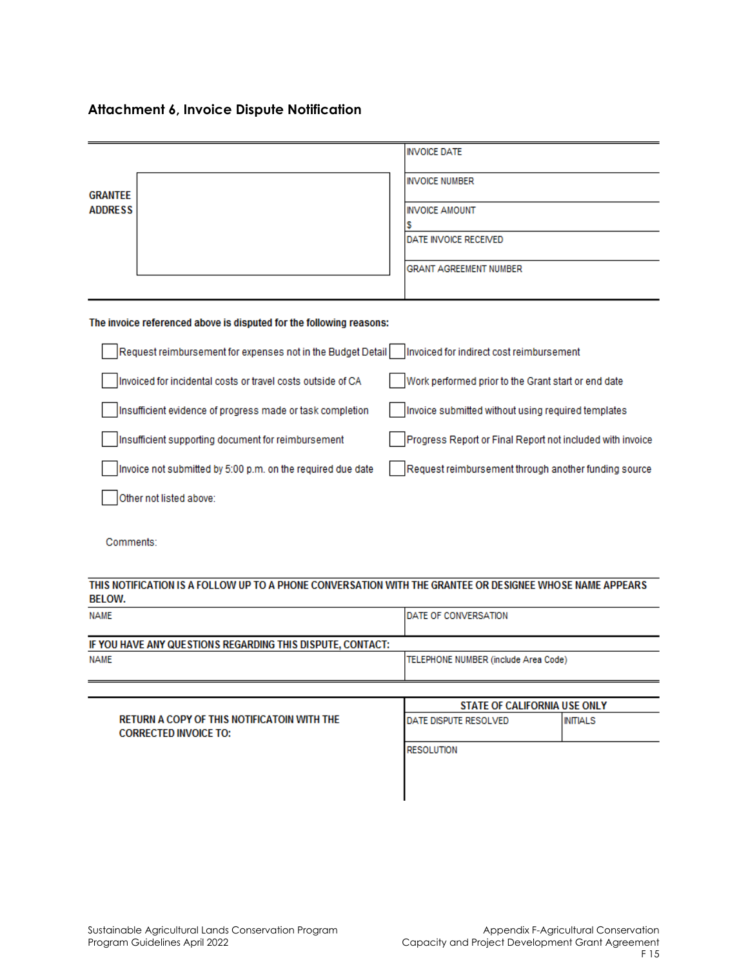## **Attachment 6, Invoice Dispute Notification**

|                                                                                                                           | <b>INVOICE DATE</b>                                       |
|---------------------------------------------------------------------------------------------------------------------------|-----------------------------------------------------------|
| <b>GRANTEE</b><br><b>ADDRESS</b>                                                                                          | <b>INVOICE NUMBER</b>                                     |
|                                                                                                                           | <b>INVOICE AMOUNT</b>                                     |
|                                                                                                                           | s<br>DATE INVOICE RECEIVED                                |
|                                                                                                                           | <b>GRANT AGREEMENT NUMBER</b>                             |
|                                                                                                                           |                                                           |
| The invoice referenced above is disputed for the following reasons:                                                       |                                                           |
| Request reimbursement for expenses not in the Budget Detail                                                               | Invoiced for indirect cost reimbursement                  |
| Invoiced for incidental costs or travel costs outside of CA                                                               | Work performed prior to the Grant start or end date       |
| Insufficient evidence of progress made or task completion                                                                 | Invoice submitted without using required templates        |
| Insufficient supporting document for reimbursement                                                                        | Progress Report or Final Report not included with invoice |
| Invoice not submitted by 5:00 p.m. on the required due date                                                               | Request reimbursement through another funding source      |
| Other not listed above:                                                                                                   |                                                           |
| Comments:                                                                                                                 |                                                           |
| THIS NOTIFICATION IS A FOLLOW UP TO A PHONE CONVERSATION WITH THE GRANTEE OR DESIGNEE WHOSE NAME APPEARS<br><b>BELOW.</b> |                                                           |
| <b>NAME</b>                                                                                                               | DATE OF CONVERSATION                                      |
| IF YOU HAVE ANY QUESTIONS REGARDING THIS DISPUTE, CONTACT:                                                                |                                                           |
| <b>NAME</b>                                                                                                               | TELEPHONE NUMBER (include Area Code)                      |
|                                                                                                                           | STATE OF CALIFORNIA USE ONLY                              |

RETURN A COPY OF THIS NOTIFICATOIN WITH THE DATE DISPUTE RESOLVED **INITIALS CORRECTED INVOICE TO: RESOLUTION**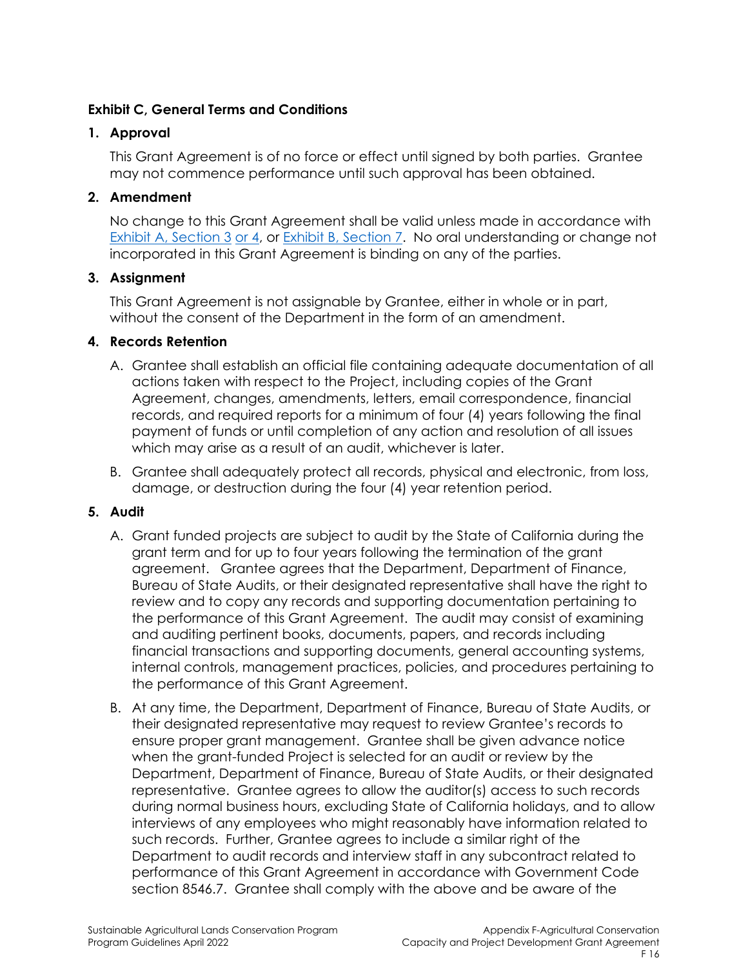### **Exhibit C, General Terms and Conditions**

### **1. Approval**

This Grant Agreement is of no force or effect until signed by both parties. Grantee may not commence performance until such approval has been obtained.

## **2. Amendment**

No change to this Grant Agreement shall be valid unless made in accordance with Exhibit A, Section 3 or 4, or Exhibit B, Section 7. No oral understanding or change not incorporated in this Grant Agreement is binding on any of the parties.

## **3. Assignment**

This Grant Agreement is not assignable by Grantee, either in whole or in part, without the consent of the Department in the form of an amendment.

## **4. Records Retention**

- A. Grantee shall establish an official file containing adequate documentation of all actions taken with respect to the Project, including copies of the Grant Agreement, changes, amendments, letters, email correspondence, financial records, and required reports for a minimum of four (4) years following the final payment of funds or until completion of any action and resolution of all issues which may arise as a result of an audit, whichever is later.
- B. Grantee shall adequately protect all records, physical and electronic, from loss, damage, or destruction during the four (4) year retention period.

#### **5. Audit**

- A. Grant funded projects are subject to audit by the State of California during the grant term and for up to four years following the termination of the grant agreement. Grantee agrees that the Department, Department of Finance, Bureau of State Audits, or their designated representative shall have the right to review and to copy any records and supporting documentation pertaining to the performance of this Grant Agreement. The audit may consist of examining and auditing pertinent books, documents, papers, and records including financial transactions and supporting documents, general accounting systems, internal controls, management practices, policies, and procedures pertaining to the performance of this Grant Agreement.
- B. At any time, the Department, Department of Finance, Bureau of State Audits, or their designated representative may request to review Grantee's records to ensure proper grant management. Grantee shall be given advance notice when the grant-funded Project is selected for an audit or review by the Department, Department of Finance, Bureau of State Audits, or their designated representative. Grantee agrees to allow the auditor(s) access to such records during normal business hours, excluding State of California holidays, and to allow interviews of any employees who might reasonably have information related to such records. Further, Grantee agrees to include a similar right of the Department to audit records and interview staff in any subcontract related to performance of this Grant Agreement in accordance with Government Code section 8546.7. Grantee shall comply with the above and be aware of the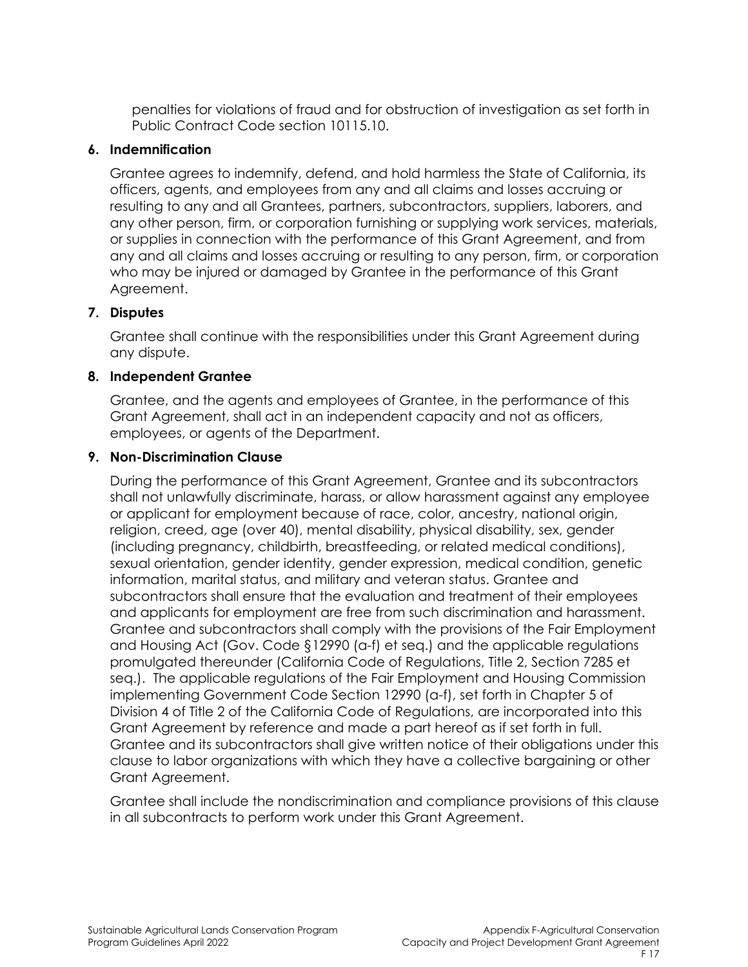penalties for violations of fraud and for obstruction of investigation as set forth in Public Contract Code section 10115.10.

#### **6. Indemnification**

Grantee agrees to indemnify, defend, and hold harmless the State of California, its officers, agents, and employees from any and all claims and losses accruing or resulting to any and all Grantees, partners, subcontractors, suppliers, laborers, and any other person, firm, or corporation furnishing or supplying work services, materials, or supplies in connection with the performance of this Grant Agreement, and from any and all claims and losses accruing or resulting to any person, firm, or corporation who may be injured or damaged by Grantee in the performance of this Grant Agreement.

#### **7. Disputes**

Grantee shall continue with the responsibilities under this Grant Agreement during any dispute.

#### **8. Independent Grantee**

Grantee, and the agents and employees of Grantee, in the performance of this Grant Agreement, shall act in an independent capacity and not as officers, employees, or agents of the Department.

#### **9. Non-Discrimination Clause**

During the performance of this Grant Agreement, Grantee and its subcontractors shall not unlawfully discriminate, harass, or allow harassment against any employee or applicant for employment because of race, color, ancestry, national origin, religion, creed, age (over 40), mental disability, physical disability, sex, gender (including pregnancy, childbirth, breastfeeding, or related medical conditions), sexual orientation, gender identity, gender expression, medical condition, genetic information, marital status, and military and veteran status. Grantee and subcontractors shall ensure that the evaluation and treatment of their employees and applicants for employment are free from such discrimination and harassment. Grantee and subcontractors shall comply with the provisions of the Fair Employment and Housing Act (Gov. Code §12990 (a-f) et seq.) and the applicable regulations promulgated thereunder (California Code of Regulations, Title 2, Section 7285 et seq.). The applicable regulations of the Fair Employment and Housing Commission implementing Government Code Section 12990 (a-f), set forth in Chapter 5 of Division 4 of Title 2 of the California Code of Regulations, are incorporated into this Grant Agreement by reference and made a part hereof as if set forth in full. Grantee and its subcontractors shall give written notice of their obligations under this clause to labor organizations with which they have a collective bargaining or other Grant Agreement.

Grantee shall include the nondiscrimination and compliance provisions of this clause in all subcontracts to perform work under this Grant Agreement.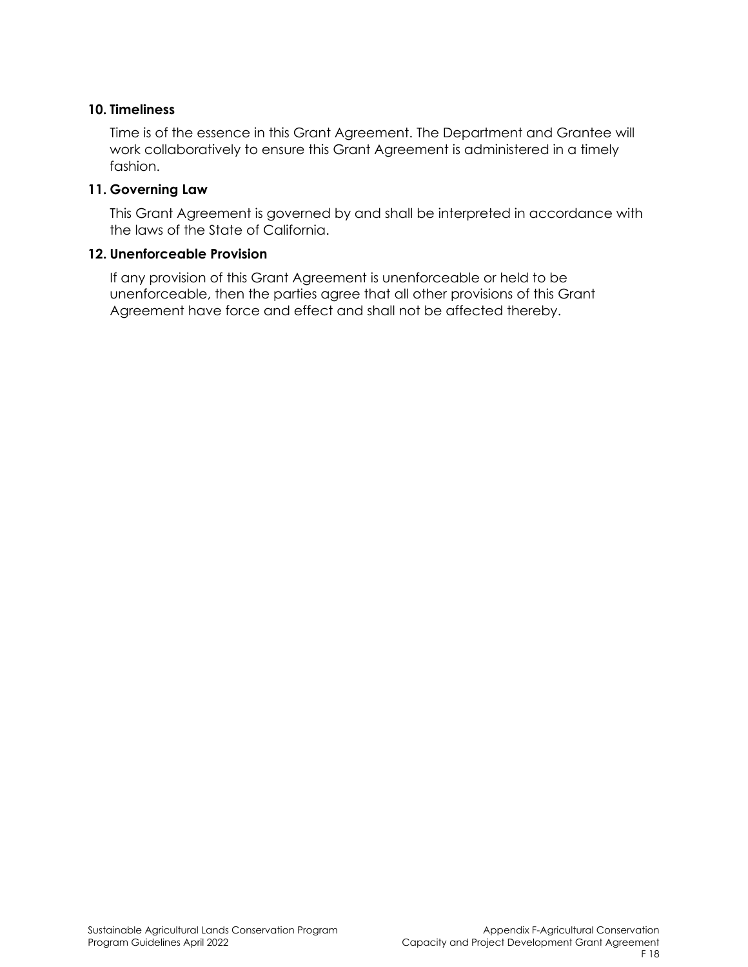#### **10. Timeliness**

Time is of the essence in this Grant Agreement. The Department and Grantee will work collaboratively to ensure this Grant Agreement is administered in a timely fashion.

#### **11. Governing Law**

This Grant Agreement is governed by and shall be interpreted in accordance with the laws of the State of California.

#### **12. Unenforceable Provision**

If any provision of this Grant Agreement is unenforceable or held to be unenforceable, then the parties agree that all other provisions of this Grant Agreement have force and effect and shall not be affected thereby.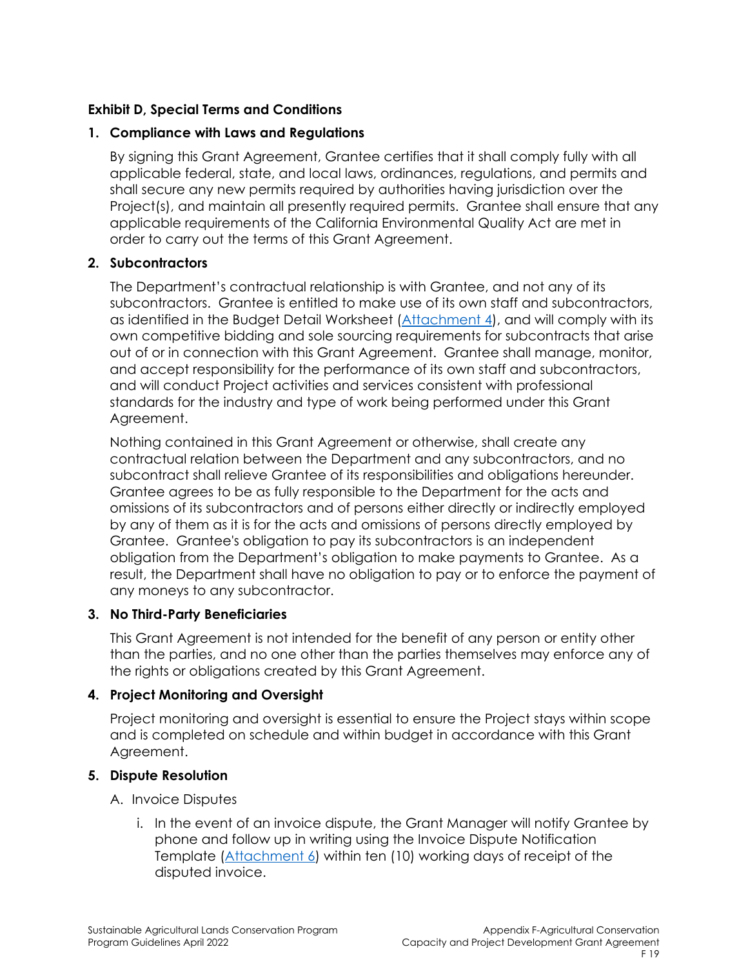## **Exhibit D, Special Terms and Conditions**

#### **1. Compliance with Laws and Regulations**

By signing this Grant Agreement, Grantee certifies that it shall comply fully with all applicable federal, state, and local laws, ordinances, regulations, and permits and shall secure any new permits required by authorities having jurisdiction over the Project(s), and maintain all presently required permits. Grantee shall ensure that any applicable requirements of the California Environmental Quality Act are met in order to carry out the terms of this Grant Agreement.

#### **2. Subcontractors**

The Department's contractual relationship is with Grantee, and not any of its subcontractors. Grantee is entitled to make use of its own staff and subcontractors, as identified in the Budget Detail Worksheet (Attachment 4), and will comply with its own competitive bidding and sole sourcing requirements for subcontracts that arise out of or in connection with this Grant Agreement. Grantee shall manage, monitor, and accept responsibility for the performance of its own staff and subcontractors, and will conduct Project activities and services consistent with professional standards for the industry and type of work being performed under this Grant Agreement.

Nothing contained in this Grant Agreement or otherwise, shall create any contractual relation between the Department and any subcontractors, and no subcontract shall relieve Grantee of its responsibilities and obligations hereunder. Grantee agrees to be as fully responsible to the Department for the acts and omissions of its subcontractors and of persons either directly or indirectly employed by any of them as it is for the acts and omissions of persons directly employed by Grantee. Grantee's obligation to pay its subcontractors is an independent obligation from the Department's obligation to make payments to Grantee. As a result, the Department shall have no obligation to pay or to enforce the payment of any moneys to any subcontractor.

#### **3. No Third-Party Beneficiaries**

This Grant Agreement is not intended for the benefit of any person or entity other than the parties, and no one other than the parties themselves may enforce any of the rights or obligations created by this Grant Agreement.

#### **4. Project Monitoring and Oversight**

Project monitoring and oversight is essential to ensure the Project stays within scope and is completed on schedule and within budget in accordance with this Grant Agreement.

#### **5. Dispute Resolution**

#### A. Invoice Disputes

i. In the event of an invoice dispute, the Grant Manager will notify Grantee by phone and follow up in writing using the Invoice Dispute Notification Template (Attachment 6) within ten (10) working days of receipt of the disputed invoice.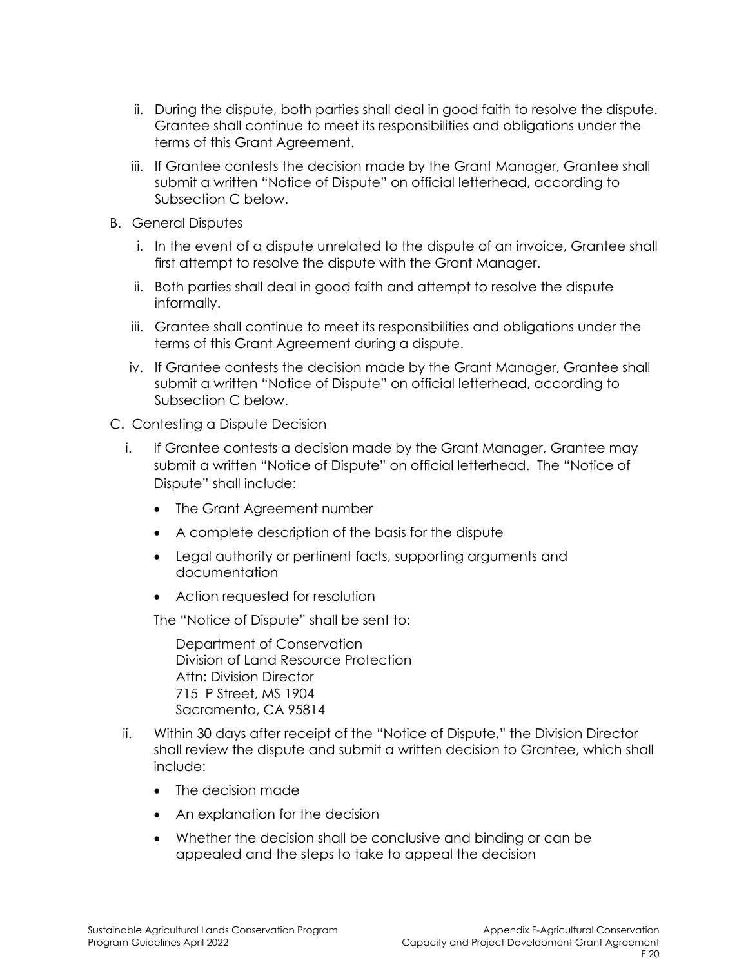- ii. During the dispute, both parties shall deal in good faith to resolve the dispute. Grantee shall continue to meet its responsibilities and obligations under the terms of this Grant Agreement.
- iii. If Grantee contests the decision made by the Grant Manager, Grantee shall submit a written "Notice of Dispute" on official letterhead, according to Subsection C below.
- B. General Disputes
	- i. In the event of a dispute unrelated to the dispute of an invoice, Grantee shall first attempt to resolve the dispute with the Grant Manager.
	- ii. Both parties shall deal in good faith and attempt to resolve the dispute informally.
	- iii. Grantee shall continue to meet its responsibilities and obligations under the terms of this Grant Agreement during a dispute.
	- iv. If Grantee contests the decision made by the Grant Manager, Grantee shall submit a written "Notice of Dispute" on official letterhead, according to Subsection C below.
- C. Contesting a Dispute Decision
	- i. If Grantee contests a decision made by the Grant Manager, Grantee may submit a written "Notice of Dispute" on official letterhead. The "Notice of Dispute" shall include:
		- The Grant Agreement number
		- A complete description of the basis for the dispute
		- Legal authority or pertinent facts, supporting arguments and documentation
		- Action requested for resolution

The "Notice of Dispute" shall be sent to:

Department of Conservation Division of Land Resource Protection Attn: Division Director 715 P Street, MS 1904 Sacramento, CA 95814

- ii. Within 30 days after receipt of the "Notice of Dispute," the Division Director shall review the dispute and submit a written decision to Grantee, which shall include:
	- The decision made
	- An explanation for the decision
	- Whether the decision shall be conclusive and binding or can be appealed and the steps to take to appeal the decision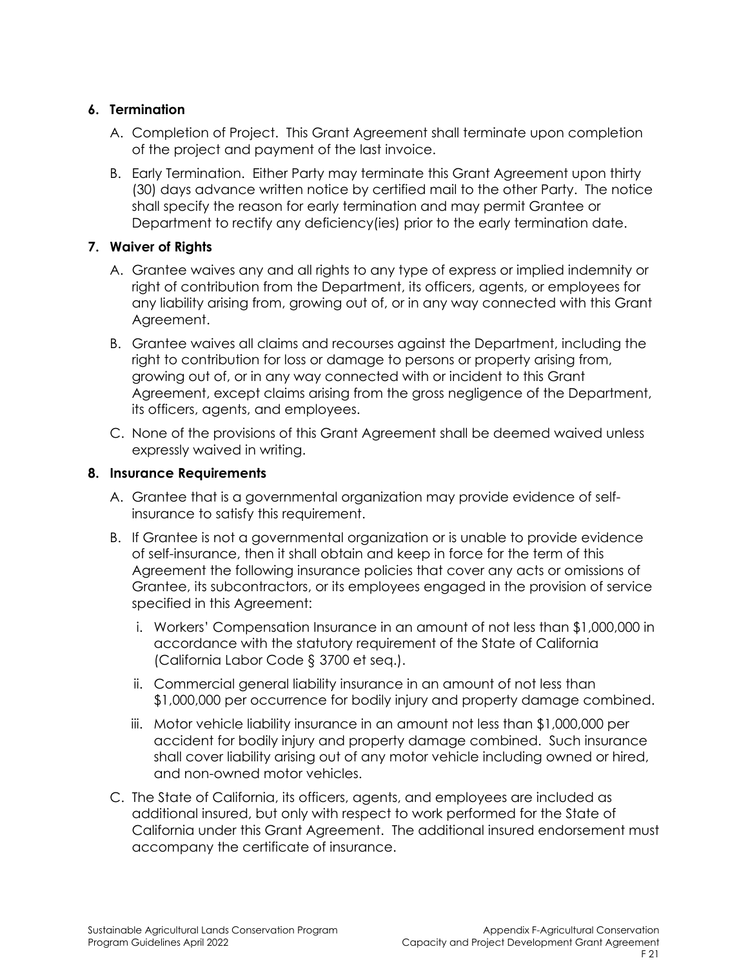## **6. Termination**

- A. Completion of Project. This Grant Agreement shall terminate upon completion of the project and payment of the last invoice.
- B. Early Termination. Either Party may terminate this Grant Agreement upon thirty (30) days advance written notice by certified mail to the other Party. The notice shall specify the reason for early termination and may permit Grantee or Department to rectify any deficiency(ies) prior to the early termination date.

## **7. Waiver of Rights**

- A. Grantee waives any and all rights to any type of express or implied indemnity or right of contribution from the Department, its officers, agents, or employees for any liability arising from, growing out of, or in any way connected with this Grant Agreement.
- B. Grantee waives all claims and recourses against the Department, including the right to contribution for loss or damage to persons or property arising from, growing out of, or in any way connected with or incident to this Grant Agreement, except claims arising from the gross negligence of the Department, its officers, agents, and employees.
- C. None of the provisions of this Grant Agreement shall be deemed waived unless expressly waived in writing.

## **8. Insurance Requirements**

- A. Grantee that is a governmental organization may provide evidence of selfinsurance to satisfy this requirement.
- B. If Grantee is not a governmental organization or is unable to provide evidence of self-insurance, then it shall obtain and keep in force for the term of this Agreement the following insurance policies that cover any acts or omissions of Grantee, its subcontractors, or its employees engaged in the provision of service specified in this Agreement:
	- i. Workers' Compensation Insurance in an amount of not less than \$1,000,000 in accordance with the statutory requirement of the State of California (California Labor Code § 3700 et seq.).
	- ii. Commercial general liability insurance in an amount of not less than \$1,000,000 per occurrence for bodily injury and property damage combined.
	- iii. Motor vehicle liability insurance in an amount not less than \$1,000,000 per accident for bodily injury and property damage combined. Such insurance shall cover liability arising out of any motor vehicle including owned or hired, and non-owned motor vehicles.
- C. The State of California, its officers, agents, and employees are included as additional insured, but only with respect to work performed for the State of California under this Grant Agreement. The additional insured endorsement must accompany the certificate of insurance.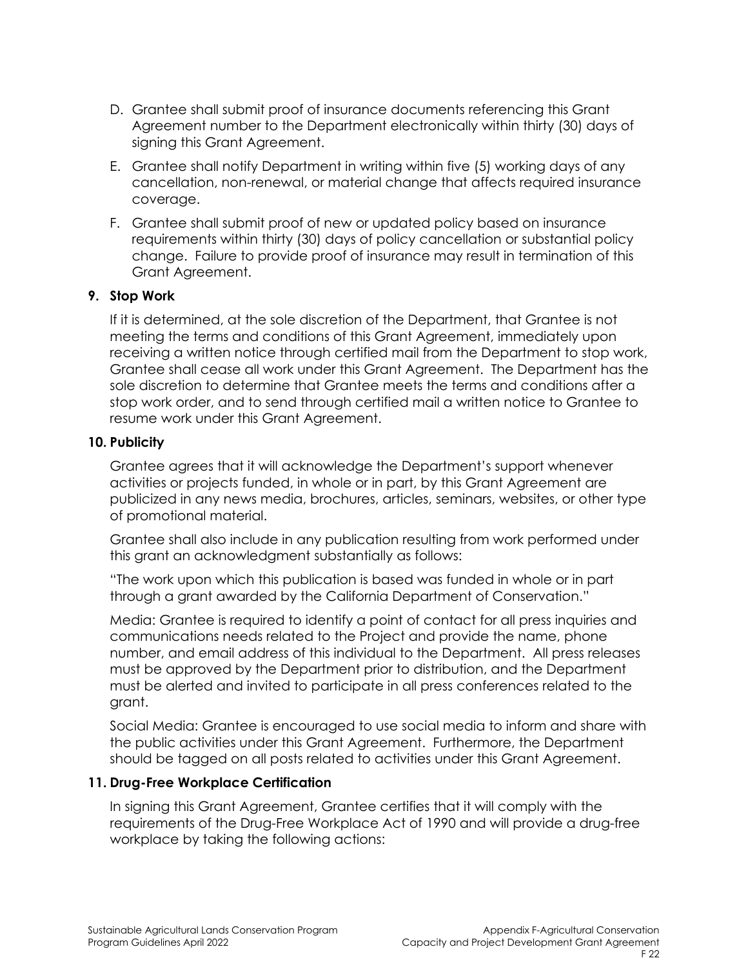- D. Grantee shall submit proof of insurance documents referencing this Grant Agreement number to the Department electronically within thirty (30) days of signing this Grant Agreement.
- E. Grantee shall notify Department in writing within five (5) working days of any cancellation, non-renewal, or material change that affects required insurance coverage.
- F. Grantee shall submit proof of new or updated policy based on insurance requirements within thirty (30) days of policy cancellation or substantial policy change. Failure to provide proof of insurance may result in termination of this Grant Agreement.

#### **9. Stop Work**

If it is determined, at the sole discretion of the Department, that Grantee is not meeting the terms and conditions of this Grant Agreement, immediately upon receiving a written notice through certified mail from the Department to stop work, Grantee shall cease all work under this Grant Agreement. The Department has the sole discretion to determine that Grantee meets the terms and conditions after a stop work order, and to send through certified mail a written notice to Grantee to resume work under this Grant Agreement.

#### **10. Publicity**

Grantee agrees that it will acknowledge the Department's support whenever activities or projects funded, in whole or in part, by this Grant Agreement are publicized in any news media, brochures, articles, seminars, websites, or other type of promotional material.

Grantee shall also include in any publication resulting from work performed under this grant an acknowledgment substantially as follows:

"The work upon which this publication is based was funded in whole or in part through a grant awarded by the California Department of Conservation."

Media: Grantee is required to identify a point of contact for all press inquiries and communications needs related to the Project and provide the name, phone number, and email address of this individual to the Department. All press releases must be approved by the Department prior to distribution, and the Department must be alerted and invited to participate in all press conferences related to the grant.

Social Media: Grantee is encouraged to use social media to inform and share with the public activities under this Grant Agreement. Furthermore, the Department should be tagged on all posts related to activities under this Grant Agreement.

#### **11. Drug-Free Workplace Certification**

In signing this Grant Agreement, Grantee certifies that it will comply with the requirements of the Drug-Free Workplace Act of 1990 and will provide a drug-free workplace by taking the following actions: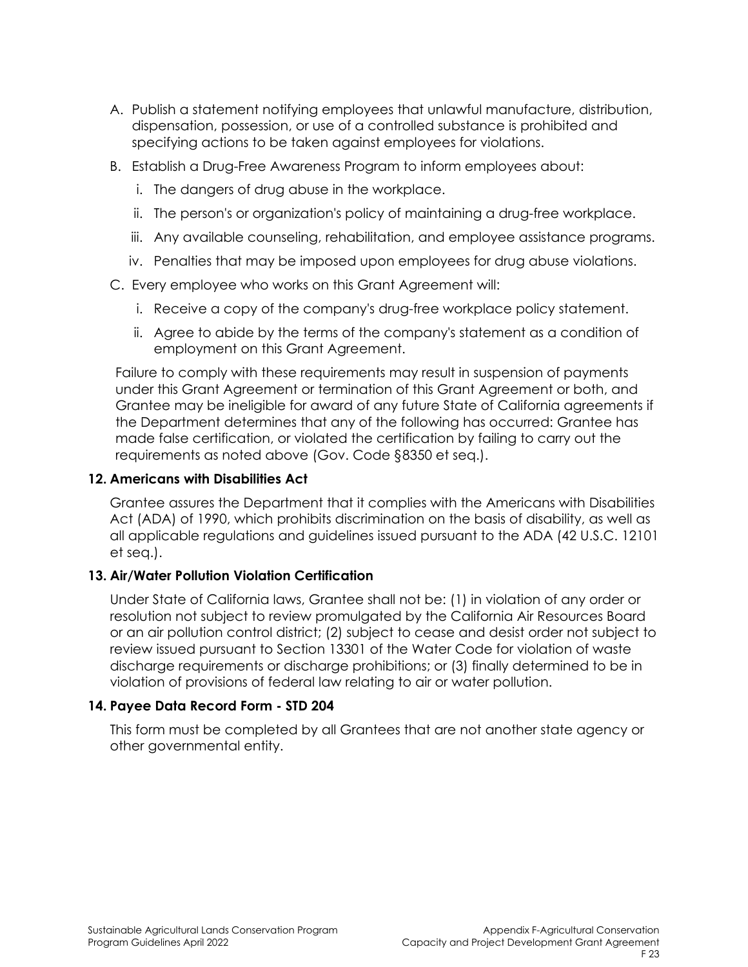- A. Publish a statement notifying employees that unlawful manufacture, distribution, dispensation, possession, or use of a controlled substance is prohibited and specifying actions to be taken against employees for violations.
- B. Establish a Drug-Free Awareness Program to inform employees about:
	- i. The dangers of drug abuse in the workplace.
	- ii. The person's or organization's policy of maintaining a drug-free workplace.
	- iii. Any available counseling, rehabilitation, and employee assistance programs.
	- iv. Penalties that may be imposed upon employees for drug abuse violations.
- C. Every employee who works on this Grant Agreement will:
	- i. Receive a copy of the company's drug-free workplace policy statement.
	- ii. Agree to abide by the terms of the company's statement as a condition of employment on this Grant Agreement.

Failure to comply with these requirements may result in suspension of payments under this Grant Agreement or termination of this Grant Agreement or both, and Grantee may be ineligible for award of any future State of California agreements if the Department determines that any of the following has occurred: Grantee has made false certification, or violated the certification by failing to carry out the requirements as noted above (Gov. Code §8350 et seq.).

#### **12. Americans with Disabilities Act**

Grantee assures the Department that it complies with the Americans with Disabilities Act (ADA) of 1990, which prohibits discrimination on the basis of disability, as well as all applicable regulations and guidelines issued pursuant to the ADA (42 U.S.C. 12101 et seq.).

#### **13. Air/Water Pollution Violation Certification**

Under State of California laws, Grantee shall not be: (1) in violation of any order or resolution not subject to review promulgated by the California Air Resources Board or an air pollution control district; (2) subject to cease and desist order not subject to review issued pursuant to Section 13301 of the Water Code for violation of waste discharge requirements or discharge prohibitions; or (3) finally determined to be in violation of provisions of federal law relating to air or water pollution.

#### **14. Payee Data Record Form - STD 204**

This form must be completed by all Grantees that are not another state agency or other governmental entity.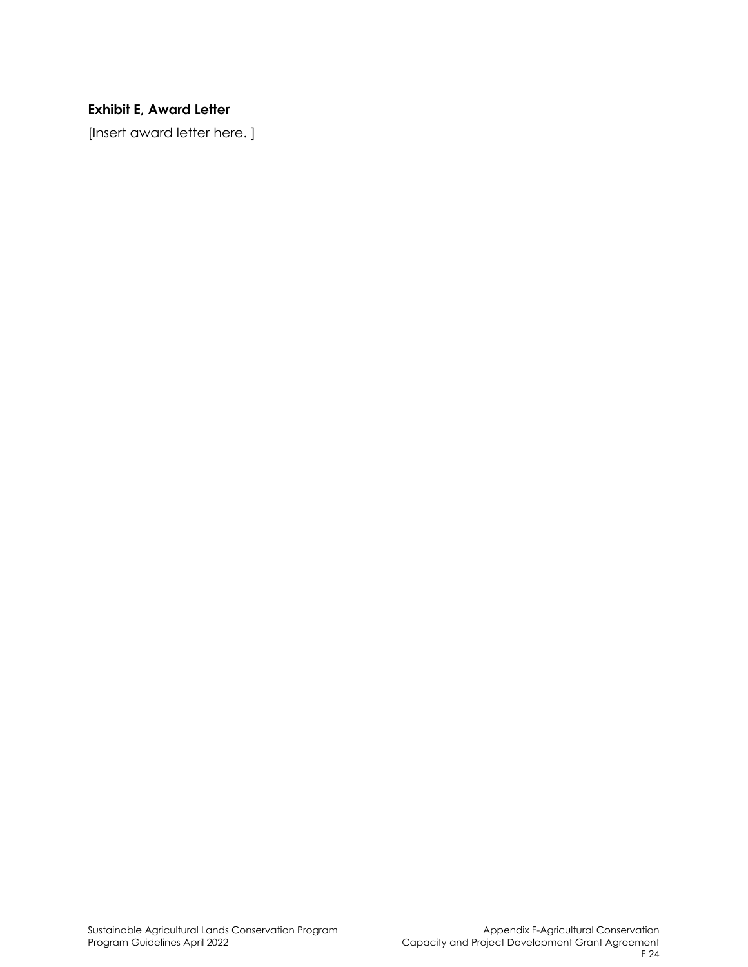# **Exhibit E, Award Letter**

[Insert award letter here. ]